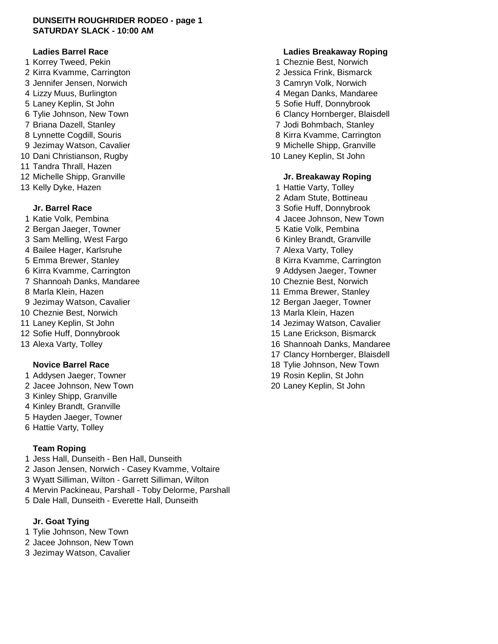### **DUNSEITH ROUGHRIDER RODEO - page 1 SATURDAY SLACK - 10:00 AM**

- 1 Korrey Tweed, Pekin **1 Cheznie Best, Norwich** 2 Kirra Kvamme, Carrington 2 Jessica Frink, Bismarck 3 Jennifer Jensen, Norwich 3 Camryn Volk, Norwich 4 Lizzy Muus, Burlington **4 Lizzy Muus, Burlington** 4 Megan Danks, Mandaree 5 Laney Keplin, St John 5 Sofie Huff, Donnybrook 6 Tylie Johnson, New Town **6 Clancy Hornberger**, Blaisdell 7 Briana Dazell, Stanley 7 Jodi Bohmbach, Stanley 8 Lynnette Cogdill, Souris **8 Access 19 Access 19 Access 19 Access 19 Access 19 Access 19 Access 19 Access 19 Access 19 Access 19 Access 19 Access 19 Access 19 Access 19 Access 19 Access 19 Access 19 Access 19 Access 19 Ac** 9 Jezimay Watson, Cavalier **9 Michelle Shipp, Granville** 10 Dani Christianson, Rugby 10 Laney Keplin, St John 11 Tandra Thrall, Hazen 12 Michelle Shipp, Granville **Jr. Breakaway Roping**
- 13 Kelly Dyke, Hazen 1 Hattie Varty, Tolley

- 
- 
- 
- 
- 
- 
- 
- 
- 
- 
- 
- 
- 

- 1 Addysen Jaeger, Towner 19 Rosin Keplin, St John
- 
- 3 Kinley Shipp, Granville
- 4 Kinley Brandt, Granville
- 5 Hayden Jaeger, Towner
- 6 Hattie Varty, Tolley

## **Team Roping**

- 1 Jess Hall, Dunseith Ben Hall, Dunseith 2 Jason Jensen, Norwich - Casey Kvamme, Voltaire 3 Wyatt Silliman, Wilton - Garrett Silliman, Wilton
- 4 Mervin Packineau, Parshall Toby Delorme, Parshall
- 5 Dale Hall, Dunseith Everette Hall, Dunseith

# **Jr. Goat Tying**

- 1 Tylie Johnson, New Town
- 2 Jacee Johnson, New Town
- 3 Jezimay Watson, Cavalier

### **Ladies Barrel Race Ladies Breakaway Roping**

- 
- 
- 
- 
- 
- 
- 
- 
- 
- 

- 
- 2 Adam Stute, Bottineau
- **Jr. Barrel Race** 3 Sofie Huff, Donnybrook
- 1 Katie Volk, Pembina 4 Jacee Johnson, New Town
- 2 Bergan Jaeger, Towner 5 Katie Volk, Pembina
- 3 Sam Melling, West Fargo 6 Kinley Brandt, Granville
- 4 Bailee Hager, Karlsruhe 7 Alexa Varty, Tolley
- 5 Emma Brewer, Stanley and Standard Communication and States 8 Kirra Kvamme, Carrington
- 6 Kirra Kvamme, Carrington 9 Addysen Jaeger, Towner
- 7 Shannoah Danks, Mandaree 10 Cheznie Best, Norwich
- 8 Marla Klein, Hazen 11 Emma Brewer, Stanley
- 9 Jezimay Watson, Cavalier 12 Bergan Jaeger, Towner
- 10 Cheznie Best, Norwich 13 Marta Klein, Hazen
- 11 Laney Keplin, St John 14 Jezimay Watson, Cavalier
- 12 Sofie Huff, Donnybrook 15 Lane Erickson, Bismarck
- 13 Alexa Varty, Tolley 16 Shannoah Danks, Mandaree
	- 17 Clancy Hornberger, Blaisdell
	- **Novice Barrel Race** 18 Tylie Johnson, New Town
		-
	- 2 Jacee Johnson, New Town 20 Laney Keplin, St John